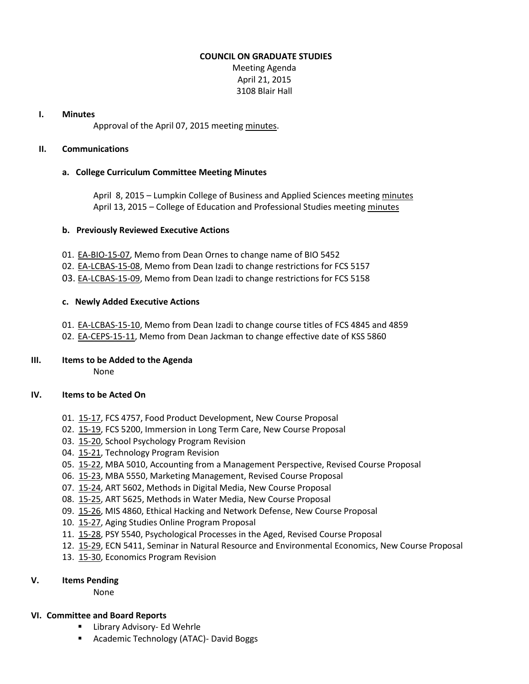## **COUNCIL ON GRADUATE STUDIES**

Meeting Agenda April 21, 2015 3108 Blair Hall

#### **I. Minutes**

Approval of the April 07, 2015 meeting [minutes.](http://castle.eiu.edu/eiucgs/currentminutes/Minutes04-07-15.pdf)

### **II. Communications**

#### **a. College Curriculum Committee Meeting Minutes**

April 8, 2015 – Lumpkin College of Business and Applied Sciences meeting [minutes](http://castle.eiu.edu/~eiucgs/currentagendaitems/LCBASMin04-08-15.pdf) April 13, 2015 – College of Education and Professional Studies meetin[g minutes](http://castle.eiu.edu/~eiucgs/currentagendaitems/CEPSMin04-13-15.pdf)

#### **b. Previously Reviewed Executive Actions**

- 01. [EA-BIO-15-07,](http://castle.eiu.edu/~eiucgs/exec-actions/EA-BIO-15-07.pdf) Memo from Dean Ornes to change name of BIO 5452
- 02. [EA-LCBAS-15-08,](http://castle.eiu.edu/~eiucgs/exec-actions/EA-LCBAS-15-08.pdf) Memo from Dean Izadi to change restrictions for FCS 5157
- 03. [EA-LCBAS-15-09,](http://castle.eiu.edu/~eiucgs/exec-actions/EA-LCBAS-15-09.pdf) Memo from Dean Izadi to change restrictions for FCS 5158

#### **c. Newly Added Executive Actions**

- 01. [EA-LCBAS-15-10,](http://castle.eiu.edu/~eiucgs/exec-actions/EA-LCBAS-15-10.pdf) Memo from Dean Izadi to change course titles of FCS 4845 and 4859
- 02. [EA-CEPS-15-11,](http://castle.eiu.edu/~eiucgs/exec-actions/EA-CEPS-15-11.pdf) Memo from Dean Jackman to change effective date of KSS 5860

## **III. Items to be Added to the Agenda**

None

## **IV. Items to be Acted On**

- 01. [15-17,](http://castle.eiu.edu/~eiucgs/currentagendaitems/agenda15-17.pdf) FCS 4757, Food Product Development, New Course Proposal
- 02. [15-19,](http://castle.eiu.edu/~eiucgs/currentagendaitems/agenda15-19.pdf) FCS 5200, Immersion in Long Term Care, New Course Proposal
- 03. [15-20,](http://castle.eiu.edu/~eiucgs/currentagendaitems/agenda15-20.pdf) School Psychology Program Revision
- 04. [15-21,](http://castle.eiu.edu/~eiucgs/currentagendaitems/agenda15-21.pdf) Technology Program Revision
- 05. [15-22,](http://castle.eiu.edu/~eiucgs/currentagendaitems/agenda15-22.pdf) MBA 5010, Accounting from a Management Perspective, Revised Course Proposal
- 06. [15-23,](http://castle.eiu.edu/~eiucgs/currentagendaitems/agenda15-23.pdf) MBA 5550, Marketing Management, Revised Course Proposal
- 07. [15-24,](http://castle.eiu.edu/~eiucgs/currentagendaitems/agenda15-24.pdf) ART 5602, Methods in Digital Media, New Course Proposal
- 08. [15-25,](http://castle.eiu.edu/~eiucgs/currentagendaitems/agenda15-25.pdf) ART 5625, Methods in Water Media, New Course Proposal
- 09. [15-26,](http://castle.eiu.edu/~eiucgs/currentagendaitems/agenda15-26.pdf) MIS 4860, Ethical Hacking and Network Defense, New Course Proposal
- 10. [15-27,](http://castle.eiu.edu/~eiucgs/currentagendaitems/agenda15-27.pdf) Aging Studies Online Program Proposal
- 11. [15-28,](http://castle.eiu.edu/~eiucgs/currentagendaitems/agenda15-28.pdf) PSY 5540, Psychological Processes in the Aged, Revised Course Proposal
- 12. [15-29,](http://castle.eiu.edu/~eiucgs/currentagendaitems/agenda15-29.pdf) ECN 5411, Seminar in Natural Resource and Environmental Economics, New Course Proposal
- 13. [15-30,](http://castle.eiu.edu/~eiucgs/currentagendaitems/agenda15-30.pdf) Economics Program Revision

## **V. Items Pending**

None

## **VI. Committee and Board Reports**

- **EXEC** Library Advisory- Ed Wehrle
- **Academic Technology (ATAC)- David Boggs**